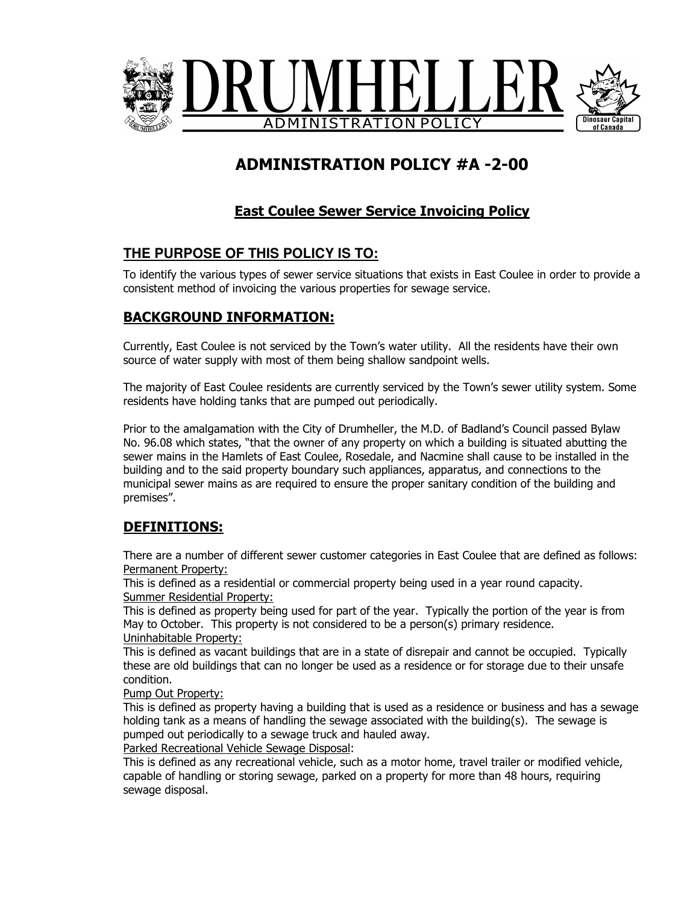

# ADMINISTRATION POLICY #A -2-00

# East Coulee Sewer Service Invoicing Policy

## **THE PURPOSE OF THIS POLICY IS TO:**

To identify the various types of sewer service situations that exists in East Coulee in order to provide a consistent method of invoicing the various properties for sewage service.

#### BACKGROUND INFORMATION:

Currently, East Coulee is not serviced by the Town's water utility. All the residents have their own source of water supply with most of them being shallow sandpoint wells.

The majority of East Coulee residents are currently serviced by the Town's sewer utility system. Some residents have holding tanks that are pumped out periodically.

Prior to the amalgamation with the City of Drumheller, the M.D. of Badland's Council passed Bylaw No. 96.08 which states, "that the owner of any property on which a building is situated abutting the sewer mains in the Hamlets of East Coulee, Rosedale, and Nacmine shall cause to be installed in the building and to the said property boundary such appliances, apparatus, and connections to the municipal sewer mains as are required to ensure the proper sanitary condition of the building and premises".

#### DEFINITIONS:

There are a number of different sewer customer categories in East Coulee that are defined as follows: Permanent Property:

This is defined as a residential or commercial property being used in a year round capacity. Summer Residential Property:

This is defined as property being used for part of the year. Typically the portion of the year is from May to October. This property is not considered to be a person(s) primary residence. Uninhabitable Property:

This is defined as vacant buildings that are in a state of disrepair and cannot be occupied. Typically these are old buildings that can no longer be used as a residence or for storage due to their unsafe condition.

Pump Out Property:

This is defined as property having a building that is used as a residence or business and has a sewage holding tank as a means of handling the sewage associated with the building(s). The sewage is pumped out periodically to a sewage truck and hauled away.

Parked Recreational Vehicle Sewage Disposal:

This is defined as any recreational vehicle, such as a motor home, travel trailer or modified vehicle, capable of handling or storing sewage, parked on a property for more than 48 hours, requiring sewage disposal.